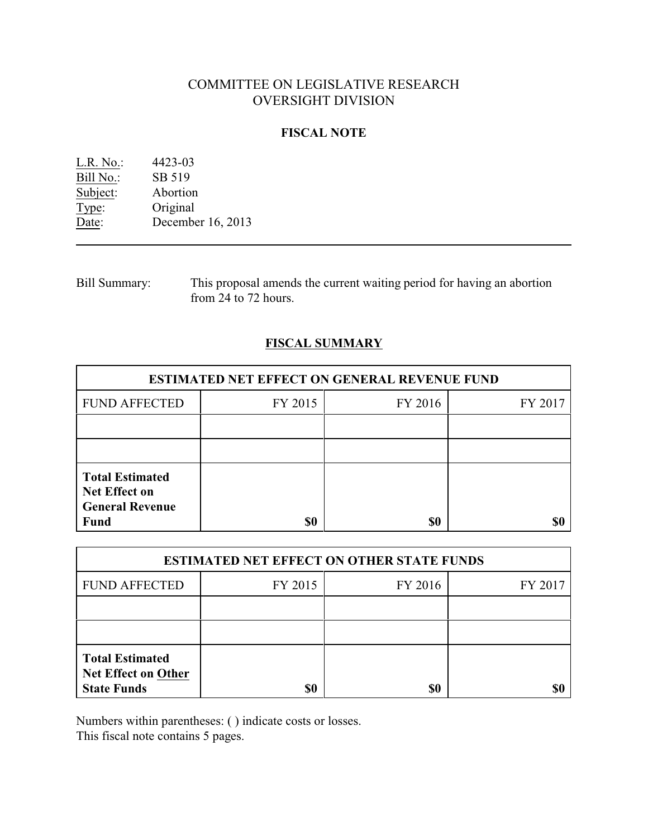# COMMITTEE ON LEGISLATIVE RESEARCH OVERSIGHT DIVISION

## **FISCAL NOTE**

| L.R. No.: | 4423-03           |
|-----------|-------------------|
| Bill No.: | SB 519            |
| Subject:  | Abortion          |
| Type:     | Original          |
| Date:     | December 16, 2013 |
|           |                   |

Bill Summary: This proposal amends the current waiting period for having an abortion from 24 to 72 hours.

## **FISCAL SUMMARY**

| <b>ESTIMATED NET EFFECT ON GENERAL REVENUE FUND</b>                                     |         |         |         |  |
|-----------------------------------------------------------------------------------------|---------|---------|---------|--|
| <b>FUND AFFECTED</b>                                                                    | FY 2015 | FY 2016 | FY 2017 |  |
|                                                                                         |         |         |         |  |
|                                                                                         |         |         |         |  |
| <b>Total Estimated</b><br><b>Net Effect on</b><br><b>General Revenue</b><br><b>Fund</b> | \$0     | \$0     |         |  |

| <b>ESTIMATED NET EFFECT ON OTHER STATE FUNDS</b>                           |         |         |         |  |
|----------------------------------------------------------------------------|---------|---------|---------|--|
| <b>FUND AFFECTED</b>                                                       | FY 2015 | FY 2016 | FY 2017 |  |
|                                                                            |         |         |         |  |
|                                                                            |         |         |         |  |
| <b>Total Estimated</b><br><b>Net Effect on Other</b><br><b>State Funds</b> | \$0     | \$0     |         |  |

Numbers within parentheses: ( ) indicate costs or losses.

This fiscal note contains 5 pages.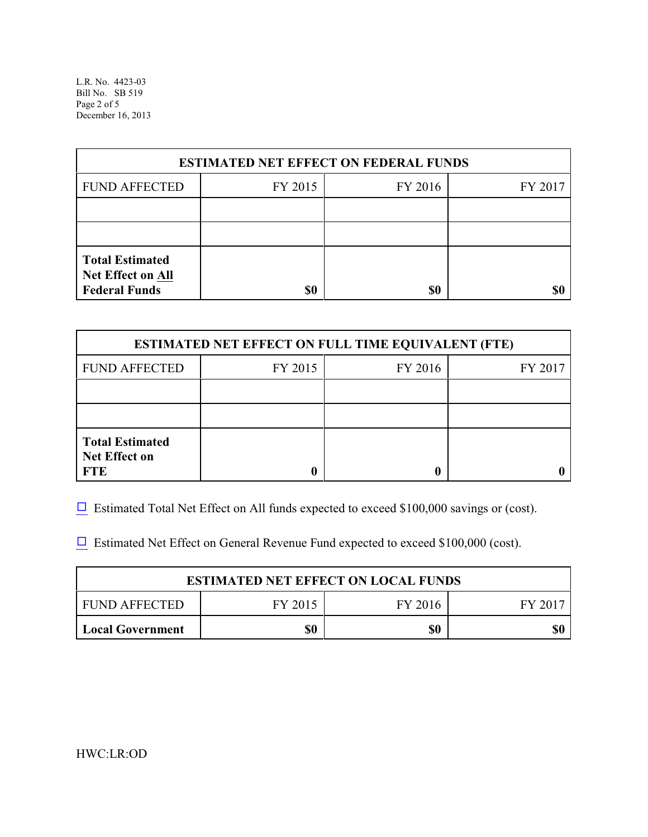L.R. No. 4423-03 Bill No. SB 519 Page 2 of 5 December 16, 2013

| <b>ESTIMATED NET EFFECT ON FEDERAL FUNDS</b>                        |         |         |         |  |
|---------------------------------------------------------------------|---------|---------|---------|--|
| <b>FUND AFFECTED</b>                                                | FY 2015 | FY 2016 | FY 2017 |  |
|                                                                     |         |         |         |  |
|                                                                     |         |         |         |  |
| <b>Total Estimated</b><br>Net Effect on All<br><b>Federal Funds</b> | \$0     | \$0     |         |  |

| <b>ESTIMATED NET EFFECT ON FULL TIME EQUIVALENT (FTE)</b>    |         |         |         |  |
|--------------------------------------------------------------|---------|---------|---------|--|
| <b>FUND AFFECTED</b>                                         | FY 2015 | FY 2016 | FY 2017 |  |
|                                                              |         |         |         |  |
|                                                              |         |         |         |  |
| <b>Total Estimated</b><br><b>Net Effect on</b><br><b>FTE</b> |         |         |         |  |

 $\Box$  Estimated Total Net Effect on All funds expected to exceed \$100,000 savings or (cost).

 $\Box$  Estimated Net Effect on General Revenue Fund expected to exceed \$100,000 (cost).

| <b>ESTIMATED NET EFFECT ON LOCAL FUNDS</b> |         |         |        |
|--------------------------------------------|---------|---------|--------|
| FUND AFFECTED                              | FY 2015 | FY 2016 | FY 201 |
| <b>Local Government</b>                    | \$0     | \$0     | \$0    |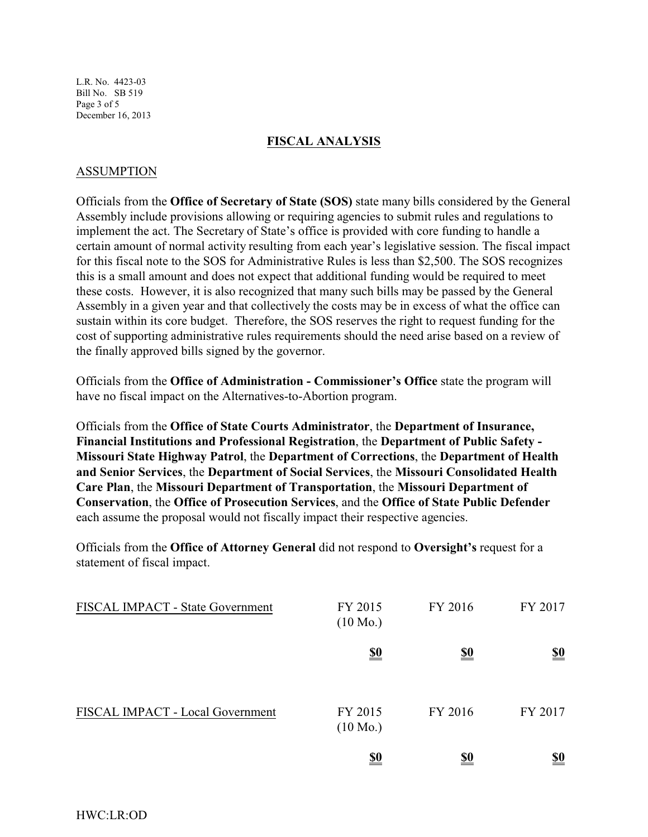L.R. No. 4423-03 Bill No. SB 519 Page 3 of 5 December 16, 2013

## **FISCAL ANALYSIS**

## ASSUMPTION

Officials from the **Office of Secretary of State (SOS)** state many bills considered by the General Assembly include provisions allowing or requiring agencies to submit rules and regulations to implement the act. The Secretary of State's office is provided with core funding to handle a certain amount of normal activity resulting from each year's legislative session. The fiscal impact for this fiscal note to the SOS for Administrative Rules is less than \$2,500. The SOS recognizes this is a small amount and does not expect that additional funding would be required to meet these costs. However, it is also recognized that many such bills may be passed by the General Assembly in a given year and that collectively the costs may be in excess of what the office can sustain within its core budget. Therefore, the SOS reserves the right to request funding for the cost of supporting administrative rules requirements should the need arise based on a review of the finally approved bills signed by the governor.

Officials from the **Office of Administration - Commissioner's Office** state the program will have no fiscal impact on the Alternatives-to-Abortion program.

Officials from the **Office of State Courts Administrator**, the **Department of Insurance, Financial Institutions and Professional Registration**, the **Department of Public Safety - Missouri State Highway Patrol**, the **Department of Corrections**, the **Department of Health and Senior Services**, the **Department of Social Services**, the **Missouri Consolidated Health Care Plan**, the **Missouri Department of Transportation**, the **Missouri Department of Conservation**, the **Office of Prosecution Services**, and the **Office of State Public Defender** each assume the proposal would not fiscally impact their respective agencies.

Officials from the **Office of Attorney General** did not respond to **Oversight's** request for a statement of fiscal impact.

| FISCAL IMPACT - State Government | FY 2015<br>$(10 \text{ Mo.})$ | FY 2016    | FY 2017    |
|----------------------------------|-------------------------------|------------|------------|
|                                  | <u>\$0</u>                    | <u>\$0</u> | <u>\$0</u> |
| FISCAL IMPACT - Local Government | FY 2015<br>$(10 \text{ Mo.})$ | FY 2016    | FY 2017    |
|                                  | <u>\$0</u>                    | <u>\$0</u> | <u>\$0</u> |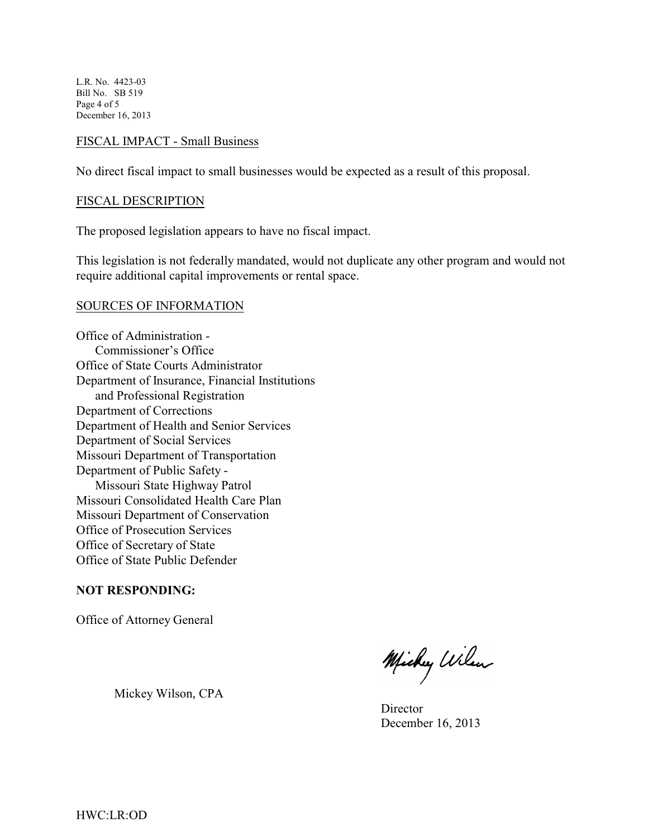L.R. No. 4423-03 Bill No. SB 519 Page 4 of 5 December 16, 2013

### FISCAL IMPACT - Small Business

No direct fiscal impact to small businesses would be expected as a result of this proposal.

#### FISCAL DESCRIPTION

The proposed legislation appears to have no fiscal impact.

This legislation is not federally mandated, would not duplicate any other program and would not require additional capital improvements or rental space.

#### SOURCES OF INFORMATION

Office of Administration - Commissioner's Office Office of State Courts Administrator Department of Insurance, Financial Institutions and Professional Registration Department of Corrections Department of Health and Senior Services Department of Social Services Missouri Department of Transportation Department of Public Safety - Missouri State Highway Patrol Missouri Consolidated Health Care Plan Missouri Department of Conservation Office of Prosecution Services Office of Secretary of State Office of State Public Defender

#### **NOT RESPONDING:**

Office of Attorney General

Mickey Wilson, CPA

Michy Wilson

**Director** December 16, 2013